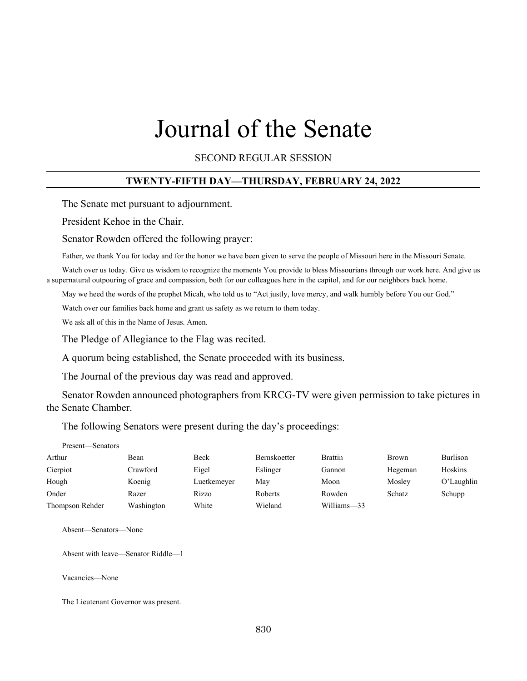# Journal of the Senate

SECOND REGULAR SESSION

#### **TWENTY-FIFTH DAY—THURSDAY, FEBRUARY 24, 2022**

The Senate met pursuant to adjournment.

President Kehoe in the Chair.

Senator Rowden offered the following prayer:

Father, we thank You for today and for the honor we have been given to serve the people of Missouri here in the Missouri Senate.

Watch over us today. Give us wisdom to recognize the moments You provide to bless Missourians through our work here. And give us a supernatural outpouring of grace and compassion, both for our colleagues here in the capitol, and for our neighbors back home.

May we heed the words of the prophet Micah, who told us to "Act justly, love mercy, and walk humbly before You our God."

Watch over our families back home and grant us safety as we return to them today.

We ask all of this in the Name of Jesus. Amen.

The Pledge of Allegiance to the Flag was recited.

A quorum being established, the Senate proceeded with its business.

The Journal of the previous day was read and approved.

Senator Rowden announced photographers from KRCG-TV were given permission to take pictures in the Senate Chamber.

The following Senators were present during the day's proceedings:

| Present—Senators |            |             |                     |                |              |               |
|------------------|------------|-------------|---------------------|----------------|--------------|---------------|
| Arthur           | Bean       | Beck        | <b>Bernskoetter</b> | <b>Brattin</b> | <b>Brown</b> | Burlison      |
| Cierpiot         | Crawford   | Eigel       | Eslinger            | Gannon         | Hegeman      | Hoskins       |
| Hough            | Koenig     | Luetkemeyer | May                 | Moon           | Mosley       | $O'$ Laughlin |
| Onder            | Razer      | Rizzo       | Roberts             | Rowden         | Schatz       | Schupp        |
| Thompson Rehder  | Washington | White       | Wieland             | Williams-33    |              |               |

Absent—Senators—None

Absent with leave—Senator Riddle—1

Vacancies—None

The Lieutenant Governor was present.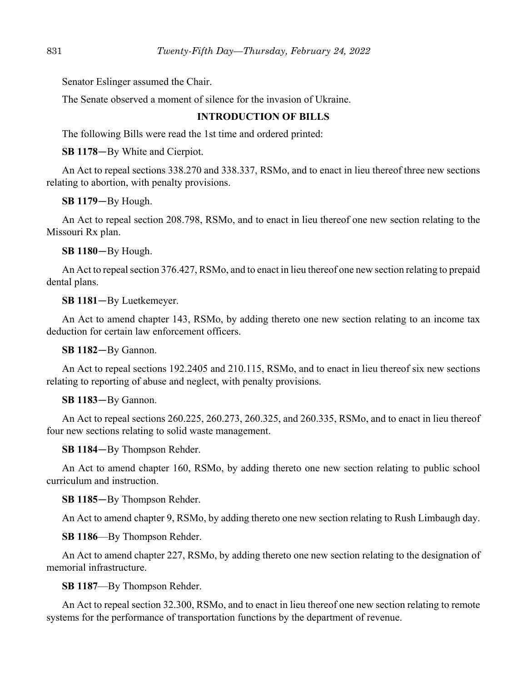Senator Eslinger assumed the Chair.

The Senate observed a moment of silence for the invasion of Ukraine.

## **INTRODUCTION OF BILLS**

The following Bills were read the 1st time and ordered printed:

**SB 1178**—By White and Cierpiot.

An Act to repeal sections 338.270 and 338.337, RSMo, and to enact in lieu thereof three new sections relating to abortion, with penalty provisions.

**SB 1179**—By Hough.

An Act to repeal section 208.798, RSMo, and to enact in lieu thereof one new section relating to the Missouri Rx plan.

**SB 1180**—By Hough.

An Act to repeal section 376.427, RSMo, and to enact in lieu thereof one new section relating to prepaid dental plans.

**SB 1181**—By Luetkemeyer.

An Act to amend chapter 143, RSMo, by adding thereto one new section relating to an income tax deduction for certain law enforcement officers.

**SB 1182**—By Gannon.

An Act to repeal sections 192.2405 and 210.115, RSMo, and to enact in lieu thereof six new sections relating to reporting of abuse and neglect, with penalty provisions.

**SB 1183**—By Gannon.

An Act to repeal sections 260.225, 260.273, 260.325, and 260.335, RSMo, and to enact in lieu thereof four new sections relating to solid waste management.

**SB 1184**—By Thompson Rehder.

An Act to amend chapter 160, RSMo, by adding thereto one new section relating to public school curriculum and instruction.

**SB 1185**—By Thompson Rehder.

An Act to amend chapter 9, RSMo, by adding thereto one new section relating to Rush Limbaugh day.

**SB 1186**––By Thompson Rehder.

An Act to amend chapter 227, RSMo, by adding thereto one new section relating to the designation of memorial infrastructure.

**SB 1187**––By Thompson Rehder.

An Act to repeal section 32.300, RSMo, and to enact in lieu thereof one new section relating to remote systems for the performance of transportation functions by the department of revenue.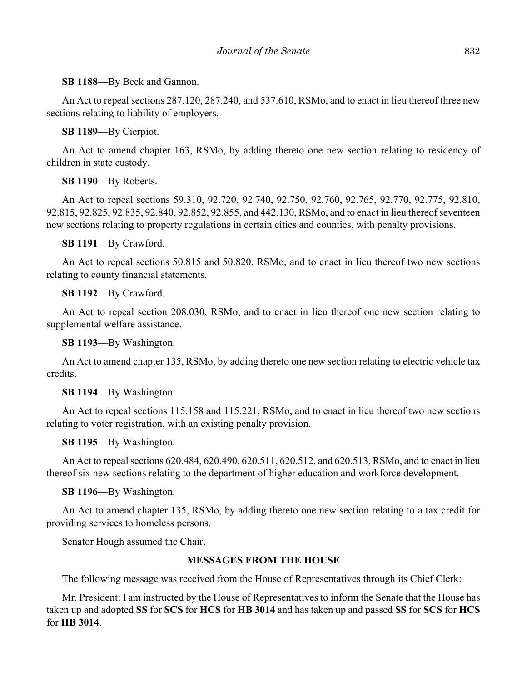**SB 1188**––By Beck and Gannon.

An Act to repeal sections 287.120, 287.240, and 537.610, RSMo, and to enact in lieu thereof three new sections relating to liability of employers.

**SB 1189**––By Cierpiot.

An Act to amend chapter 163, RSMo, by adding thereto one new section relating to residency of children in state custody.

**SB 1190**––By Roberts.

An Act to repeal sections 59.310, 92.720, 92.740, 92.750, 92.760, 92.765, 92.770, 92.775, 92.810, 92.815, 92.825, 92.835, 92.840, 92.852, 92.855, and 442.130, RSMo, and to enact in lieu thereof seventeen new sections relating to property regulations in certain cities and counties, with penalty provisions.

**SB 1191**––By Crawford.

An Act to repeal sections 50.815 and 50.820, RSMo, and to enact in lieu thereof two new sections relating to county financial statements.

**SB 1192**––By Crawford.

An Act to repeal section 208.030, RSMo, and to enact in lieu thereof one new section relating to supplemental welfare assistance.

**SB 1193**––By Washington.

An Act to amend chapter 135, RSMo, by adding thereto one new section relating to electric vehicle tax credits.

**SB 1194**––By Washington.

An Act to repeal sections 115.158 and 115.221, RSMo, and to enact in lieu thereof two new sections relating to voter registration, with an existing penalty provision.

**SB 1195**––By Washington.

An Act to repeal sections 620.484, 620.490, 620.511, 620.512, and 620.513, RSMo, and to enact in lieu thereof six new sections relating to the department of higher education and workforce development.

**SB 1196**––By Washington.

An Act to amend chapter 135, RSMo, by adding thereto one new section relating to a tax credit for providing services to homeless persons.

Senator Hough assumed the Chair.

## **MESSAGES FROM THE HOUSE**

The following message was received from the House of Representatives through its Chief Clerk:

Mr. President: I am instructed by the House of Representatives to inform the Senate that the House has taken up and adopted **SS** for **SCS** for **HCS** for **HB 3014** and has taken up and passed **SS** for **SCS** for **HCS** for **HB 3014**.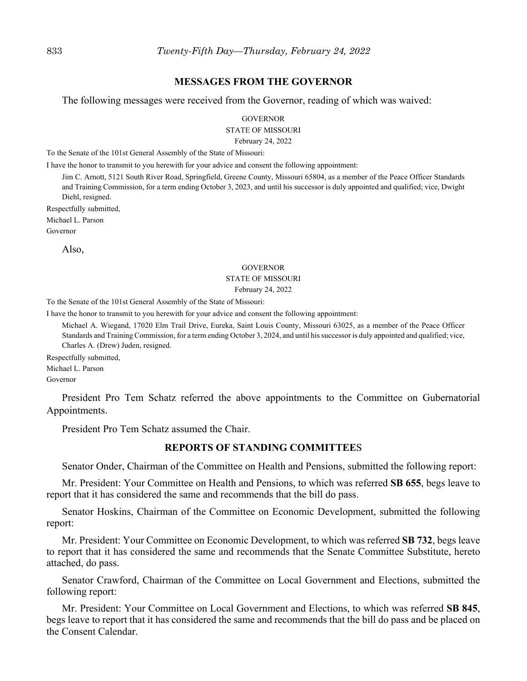#### **MESSAGES FROM THE GOVERNOR**

The following messages were received from the Governor, reading of which was waived:

**GOVERNOR** 

STATE OF MISSOURI

February 24, 2022

To the Senate of the 101st General Assembly of the State of Missouri:

I have the honor to transmit to you herewith for your advice and consent the following appointment:

Jim C. Arnott, 5121 South River Road, Springfield, Greene County, Missouri 65804, as a member of the Peace Officer Standards and Training Commission, for a term ending October 3, 2023, and until his successor is duly appointed and qualified; vice, Dwight Diehl, resigned.

Respectfully submitted,

Michael L. Parson

Governor

Also,

#### GOVERNOR

#### STATE OF MISSOURI

#### February 24, 2022

To the Senate of the 101st General Assembly of the State of Missouri:

I have the honor to transmit to you herewith for your advice and consent the following appointment:

Michael A. Wiegand, 17020 Elm Trail Drive, Eureka, Saint Louis County, Missouri 63025, as a member of the Peace Officer Standards and Training Commission, for a term ending October 3, 2024, and until his successor is duly appointed and qualified; vice, Charles A. (Drew) Juden, resigned.

Respectfully submitted,

Michael L. Parson

Governor

President Pro Tem Schatz referred the above appointments to the Committee on Gubernatorial Appointments.

President Pro Tem Schatz assumed the Chair.

#### **REPORTS OF STANDING COMMITTEE**S

Senator Onder, Chairman of the Committee on Health and Pensions, submitted the following report:

Mr. President: Your Committee on Health and Pensions, to which was referred **SB 655**, begs leave to report that it has considered the same and recommends that the bill do pass.

Senator Hoskins, Chairman of the Committee on Economic Development, submitted the following report:

Mr. President: Your Committee on Economic Development, to which was referred **SB 732**, begs leave to report that it has considered the same and recommends that the Senate Committee Substitute, hereto attached, do pass.

Senator Crawford, Chairman of the Committee on Local Government and Elections, submitted the following report:

Mr. President: Your Committee on Local Government and Elections, to which was referred **SB 845**, begs leave to report that it has considered the same and recommends that the bill do pass and be placed on the Consent Calendar.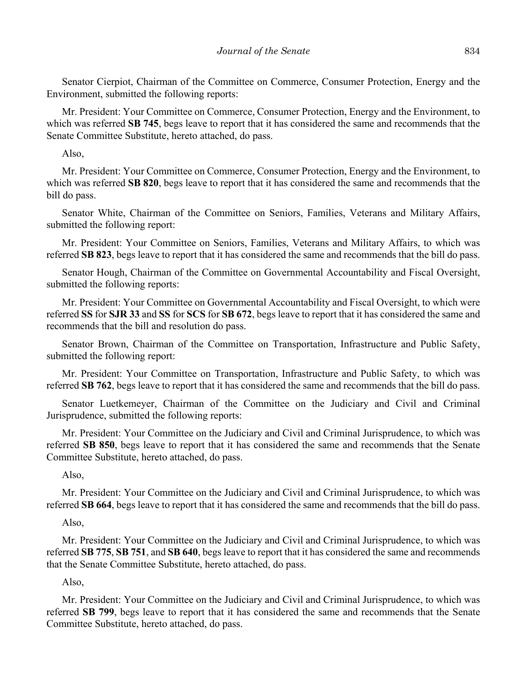Senator Cierpiot, Chairman of the Committee on Commerce, Consumer Protection, Energy and the Environment, submitted the following reports:

Mr. President: Your Committee on Commerce, Consumer Protection, Energy and the Environment, to which was referred **SB 745**, begs leave to report that it has considered the same and recommends that the Senate Committee Substitute, hereto attached, do pass.

Also,

Mr. President: Your Committee on Commerce, Consumer Protection, Energy and the Environment, to which was referred **SB 820**, begs leave to report that it has considered the same and recommends that the bill do pass.

Senator White, Chairman of the Committee on Seniors, Families, Veterans and Military Affairs, submitted the following report:

Mr. President: Your Committee on Seniors, Families, Veterans and Military Affairs, to which was referred **SB 823**, begs leave to report that it has considered the same and recommends that the bill do pass.

Senator Hough, Chairman of the Committee on Governmental Accountability and Fiscal Oversight, submitted the following reports:

Mr. President: Your Committee on Governmental Accountability and Fiscal Oversight, to which were referred **SS** for **SJR 33** and **SS** for **SCS** for **SB 672**, begs leave to report that it has considered the same and recommends that the bill and resolution do pass.

Senator Brown, Chairman of the Committee on Transportation, Infrastructure and Public Safety, submitted the following report:

Mr. President: Your Committee on Transportation, Infrastructure and Public Safety, to which was referred **SB 762**, begs leave to report that it has considered the same and recommends that the bill do pass.

Senator Luetkemeyer, Chairman of the Committee on the Judiciary and Civil and Criminal Jurisprudence, submitted the following reports:

Mr. President: Your Committee on the Judiciary and Civil and Criminal Jurisprudence, to which was referred **SB 850**, begs leave to report that it has considered the same and recommends that the Senate Committee Substitute, hereto attached, do pass.

Also,

Mr. President: Your Committee on the Judiciary and Civil and Criminal Jurisprudence, to which was referred **SB 664**, begs leave to report that it has considered the same and recommends that the bill do pass.

Also,

Mr. President: Your Committee on the Judiciary and Civil and Criminal Jurisprudence, to which was referred **SB 775**, **SB 751**, and **SB 640**, begs leave to report that it has considered the same and recommends that the Senate Committee Substitute, hereto attached, do pass.

Also,

Mr. President: Your Committee on the Judiciary and Civil and Criminal Jurisprudence, to which was referred **SB 799**, begs leave to report that it has considered the same and recommends that the Senate Committee Substitute, hereto attached, do pass.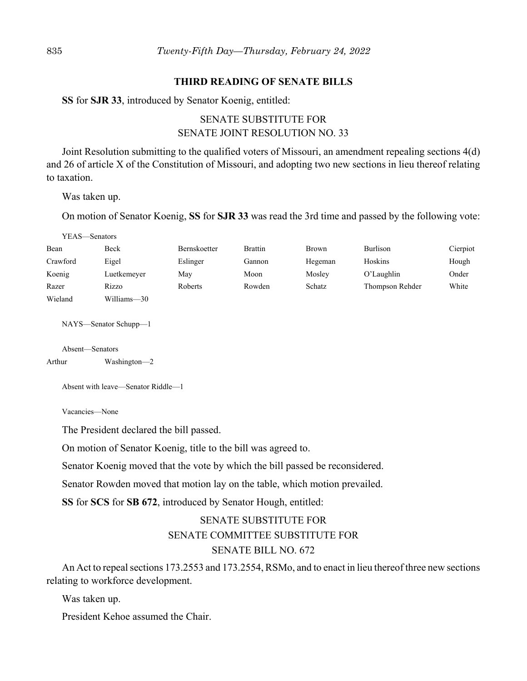#### **THIRD READING OF SENATE BILLS**

**SS** for **SJR 33**, introduced by Senator Koenig, entitled:

# SENATE SUBSTITUTE FOR SENATE JOINT RESOLUTION NO. 33

Joint Resolution submitting to the qualified voters of Missouri, an amendment repealing sections 4(d) and 26 of article X of the Constitution of Missouri, and adopting two new sections in lieu thereof relating to taxation.

Was taken up.

On motion of Senator Koenig, **SS** for **SJR 33** was read the 3rd time and passed by the following vote:

| YEAS-Senators             |                       |              |                |              |                 |          |
|---------------------------|-----------------------|--------------|----------------|--------------|-----------------|----------|
| Bean                      | Beck                  | Bernskoetter | <b>Brattin</b> | <b>Brown</b> | Burlison        | Cierpiot |
| Crawford                  | Eigel                 | Eslinger     | Gannon         | Hegeman      | Hoskins         | Hough    |
| Koenig                    | Luetkemeyer           | May          | Moon           | Mosley       | O'Laughlin      | Onder    |
| Razer                     | Rizzo                 | Roberts      | Rowden         | Schatz       | Thompson Rehder | White    |
| Wieland                   | Williams-30           |              |                |              |                 |          |
|                           | NAYS—Senator Schupp—1 |              |                |              |                 |          |
| Absent—Senators<br>Arthur | Washington-2          |              |                |              |                 |          |

Absent with leave—Senator Riddle—1

Vacancies—None

The President declared the bill passed.

On motion of Senator Koenig, title to the bill was agreed to.

Senator Koenig moved that the vote by which the bill passed be reconsidered.

Senator Rowden moved that motion lay on the table, which motion prevailed.

**SS** for **SCS** for **SB 672**, introduced by Senator Hough, entitled:

# SENATE SUBSTITUTE FOR SENATE COMMITTEE SUBSTITUTE FOR SENATE BILL NO. 672

An Act to repeal sections 173.2553 and 173.2554, RSMo, and to enact in lieu thereof three new sections relating to workforce development.

Was taken up.

President Kehoe assumed the Chair.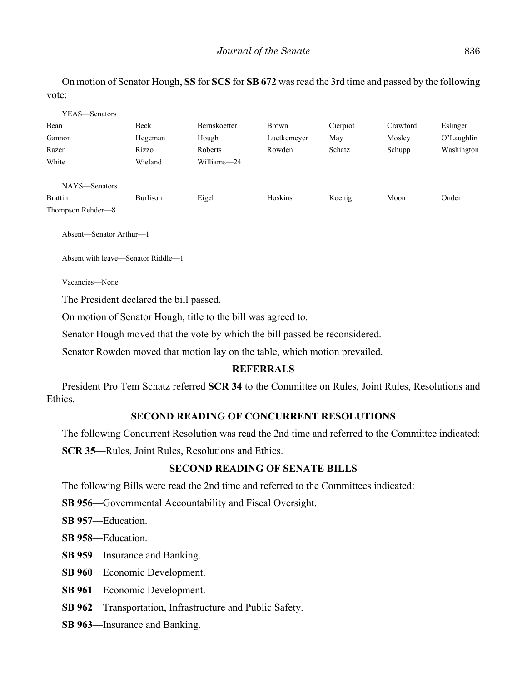On motion of Senator Hough, **SS** for **SCS** for **SB 672** was read the 3rd time and passed by the following vote:

| YEAS—Senators     |          |                     |             |          |          |               |
|-------------------|----------|---------------------|-------------|----------|----------|---------------|
| Bean              | Beck     | <b>Bernskoetter</b> | Brown       | Cierpiot | Crawford | Eslinger      |
| Gannon            | Hegeman  | Hough               | Luetkemeyer | May      | Mosley   | $O'$ Laughlin |
| Razer             | Rizzo    | Roberts             | Rowden      | Schatz   | Schupp   | Washington    |
| White             | Wieland  | Williams-24         |             |          |          |               |
| NAYS-Senators     |          |                     |             |          |          |               |
| <b>Brattin</b>    | Burlison | Eigel               | Hoskins     | Koenig   | Moon     | Onder         |
| Thompson Rehder-8 |          |                     |             |          |          |               |

Absent—Senator Arthur—1

Absent with leave—Senator Riddle—1

Vacancies—None

The President declared the bill passed.

On motion of Senator Hough, title to the bill was agreed to.

Senator Hough moved that the vote by which the bill passed be reconsidered.

Senator Rowden moved that motion lay on the table, which motion prevailed.

## **REFERRALS**

President Pro Tem Schatz referred **SCR 34** to the Committee on Rules, Joint Rules, Resolutions and Ethics.

## **SECOND READING OF CONCURRENT RESOLUTIONS**

The following Concurrent Resolution was read the 2nd time and referred to the Committee indicated:

**SCR 35**––Rules, Joint Rules, Resolutions and Ethics.

## **SECOND READING OF SENATE BILLS**

The following Bills were read the 2nd time and referred to the Committees indicated:

**SB 956**—Governmental Accountability and Fiscal Oversight.

**SB 957**––Education.

**SB 958**––Education.

**SB 959**––Insurance and Banking.

**SB 960**––Economic Development.

**SB 961**––Economic Development.

**SB 962**––Transportation, Infrastructure and Public Safety.

**SB 963**––Insurance and Banking.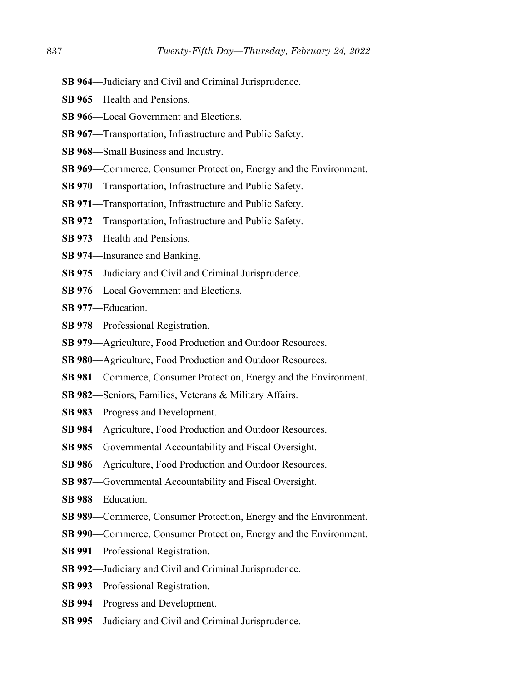- **SB 964**––Judiciary and Civil and Criminal Jurisprudence.
- **SB 965—Health and Pensions.**
- **SB 966—Local Government and Elections.**
- **SB 967**––Transportation, Infrastructure and Public Safety.
- **SB 968**––Small Business and Industry.
- **SB 969—Commerce, Consumer Protection, Energy and the Environment.**
- **SB 970**––Transportation, Infrastructure and Public Safety.
- **SB 971**––Transportation, Infrastructure and Public Safety.
- **SB 972**––Transportation, Infrastructure and Public Safety.
- **SB 973**––Health and Pensions.
- **SB 974**––Insurance and Banking.
- **SB 975**––Judiciary and Civil and Criminal Jurisprudence.
- **SB 976—Local Government and Elections.**
- **SB 977**––Education.
- **SB 978**––Professional Registration.
- **SB 979**––Agriculture, Food Production and Outdoor Resources.
- **SB 980**––Agriculture, Food Production and Outdoor Resources.
- **SB 981**––Commerce, Consumer Protection, Energy and the Environment.
- **SB 982**––Seniors, Families, Veterans & Military Affairs.
- **SB 983**––Progress and Development.
- **SB 984**––Agriculture, Food Production and Outdoor Resources.
- **SB 985**––Governmental Accountability and Fiscal Oversight.
- **SB 986**––Agriculture, Food Production and Outdoor Resources.
- **SB 987––Governmental Accountability and Fiscal Oversight.**
- **SB 988**––Education.
- **SB 989**––Commerce, Consumer Protection, Energy and the Environment.
- **SB 990**––Commerce, Consumer Protection, Energy and the Environment.
- **SB 991**––Professional Registration.
- **SB 992**––Judiciary and Civil and Criminal Jurisprudence.
- **SB 993**––Professional Registration.
- **SB 994**––Progress and Development.
- **SB 995**––Judiciary and Civil and Criminal Jurisprudence.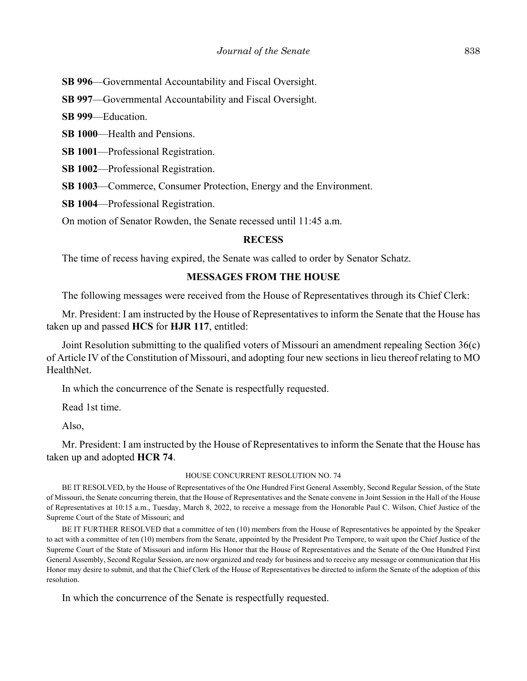**SB 996**—Governmental Accountability and Fiscal Oversight.

**SB 997**—Governmental Accountability and Fiscal Oversight.

**SB 999**––Education.

**SB 1000**––Health and Pensions.

**SB 1001**––Professional Registration.

**SB 1002**—Professional Registration.

**SB 1003—Commerce, Consumer Protection, Energy and the Environment.** 

**SB 1004**––Professional Registration.

On motion of Senator Rowden, the Senate recessed until 11:45 a.m.

#### **RECESS**

The time of recess having expired, the Senate was called to order by Senator Schatz.

#### **MESSAGES FROM THE HOUSE**

The following messages were received from the House of Representatives through its Chief Clerk:

Mr. President: I am instructed by the House of Representatives to inform the Senate that the House has taken up and passed **HCS** for **HJR 117**, entitled:

Joint Resolution submitting to the qualified voters of Missouri an amendment repealing Section 36(c) of Article IV of the Constitution of Missouri, and adopting four new sections in lieu thereof relating to MO HealthNet.

In which the concurrence of the Senate is respectfully requested.

Read 1st time.

Also,

Mr. President: I am instructed by the House of Representatives to inform the Senate that the House has taken up and adopted **HCR 74**.

#### HOUSE CONCURRENT RESOLUTION NO. 74

BE IT RESOLVED, by the House of Representatives of the One Hundred First General Assembly, Second Regular Session, of the State of Missouri, the Senate concurring therein, that the House of Representatives and the Senate convene in Joint Session in the Hall of the House of Representatives at 10:15 a.m., Tuesday, March 8, 2022, to receive a message from the Honorable Paul C. Wilson, Chief Justice of the Supreme Court of the State of Missouri; and

BE IT FURTHER RESOLVED that a committee of ten (10) members from the House of Representatives be appointed by the Speaker to act with a committee of ten (10) members from the Senate, appointed by the President Pro Tempore, to wait upon the Chief Justice of the Supreme Court of the State of Missouri and inform His Honor that the House of Representatives and the Senate of the One Hundred First General Assembly, Second Regular Session, are now organized and ready for business and to receive any message or communication that His Honor may desire to submit, and that the Chief Clerk of the House of Representatives be directed to inform the Senate of the adoption of this resolution.

In which the concurrence of the Senate is respectfully requested.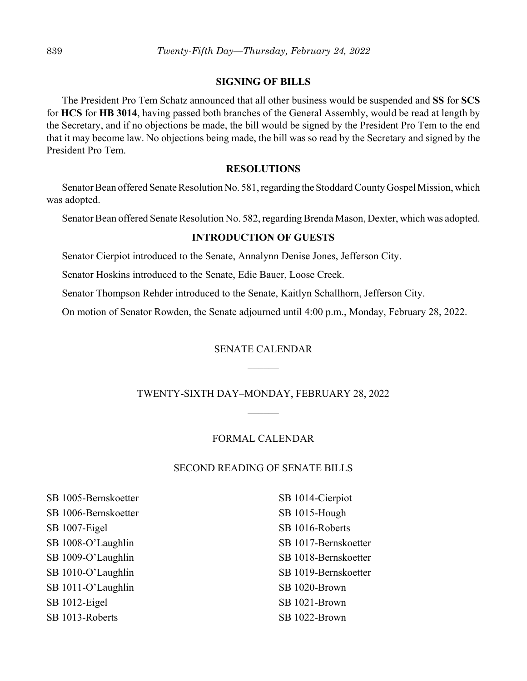#### **SIGNING OF BILLS**

The President Pro Tem Schatz announced that all other business would be suspended and **SS** for **SCS** for **HCS** for **HB 3014**, having passed both branches of the General Assembly, would be read at length by the Secretary, and if no objections be made, the bill would be signed by the President Pro Tem to the end that it may become law. No objections being made, the bill was so read by the Secretary and signed by the President Pro Tem.

#### **RESOLUTIONS**

Senator Bean offered Senate Resolution No. 581, regarding the Stoddard County Gospel Mission, which was adopted.

Senator Bean offered Senate Resolution No. 582, regarding Brenda Mason, Dexter, which was adopted.

## **INTRODUCTION OF GUESTS**

Senator Cierpiot introduced to the Senate, Annalynn Denise Jones, Jefferson City.

Senator Hoskins introduced to the Senate, Edie Bauer, Loose Creek.

Senator Thompson Rehder introduced to the Senate, Kaitlyn Schallhorn, Jefferson City.

On motion of Senator Rowden, the Senate adjourned until 4:00 p.m., Monday, February 28, 2022.

#### SENATE CALENDAR

#### TWENTY-SIXTH DAY–MONDAY, FEBRUARY 28, 2022

#### FORMAL CALENDAR

#### SECOND READING OF SENATE BILLS

SB 1005-Bernskoetter SB 1006-Bernskoetter SB 1007-Eigel SB 1008-O'Laughlin SB 1009-O'Laughlin SB 1010-O'Laughlin SB 1011-O'Laughlin SB 1012-Eigel SB 1013-Roberts

SB 1014-Cierpiot SB 1015-Hough SB 1016-Roberts SB 1017-Bernskoetter SB 1018-Bernskoetter SB 1019-Bernskoetter SB 1020-Brown SB 1021-Brown SB 1022-Brown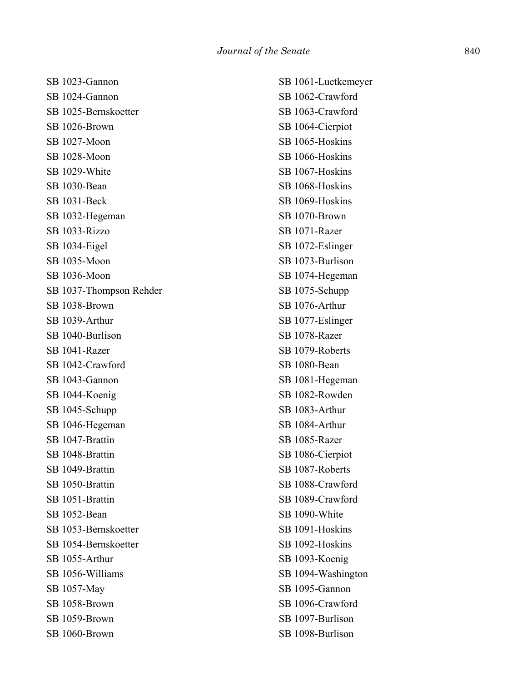| SB 1023-Gannon          | SB 1061-Luetkemeyer |
|-------------------------|---------------------|
| SB 1024-Gannon          | SB 1062-Crawford    |
| SB 1025-Bernskoetter    | SB 1063-Crawford    |
| SB 1026-Brown           | SB 1064-Cierpiot    |
| SB 1027-Moon            | SB 1065-Hoskins     |
| SB 1028-Moon            | SB 1066-Hoskins     |
| SB 1029-White           | SB 1067-Hoskins     |
| SB 1030-Bean            | SB 1068-Hoskins     |
| SB 1031-Beck            | SB 1069-Hoskins     |
| SB 1032-Hegeman         | SB 1070-Brown       |
| SB 1033-Rizzo           | SB 1071-Razer       |
| SB 1034-Eigel           | SB 1072-Eslinger    |
| SB 1035-Moon            | SB 1073-Burlison    |
| SB 1036-Moon            | SB 1074-Hegeman     |
| SB 1037-Thompson Rehder | SB 1075-Schupp      |
| SB 1038-Brown           | SB 1076-Arthur      |
| SB 1039-Arthur          | SB 1077-Eslinger    |
| SB 1040-Burlison        | SB 1078-Razer       |
| SB 1041-Razer           | SB 1079-Roberts     |
| SB 1042-Crawford        | SB 1080-Bean        |
| SB 1043-Gannon          | SB 1081-Hegeman     |
| SB 1044-Koenig          | SB 1082-Rowden      |
| SB 1045-Schupp          | SB 1083-Arthur      |
| SB 1046-Hegeman         | SB 1084-Arthur      |
| SB 1047-Brattin         | SB 1085-Razer       |
| SB 1048-Brattin         | SB 1086-Cierpiot    |
| SB 1049-Brattin         | SB 1087-Roberts     |
| SB 1050-Brattin         | SB 1088-Crawford    |
| SB 1051-Brattin         | SB 1089-Crawford    |
| SB 1052-Bean            | SB 1090-White       |
| SB 1053-Bernskoetter    | SB 1091-Hoskins     |
| SB 1054-Bernskoetter    | SB 1092-Hoskins     |
| SB 1055-Arthur          | SB 1093-Koenig      |
| SB 1056-Williams        | SB 1094-Washington  |
| SB 1057-May             | SB 1095-Gannon      |
| SB 1058-Brown           | SB 1096-Crawford    |
| SB 1059-Brown           | SB 1097-Burlison    |
| SB 1060-Brown           | SB 1098-Burlison    |
|                         |                     |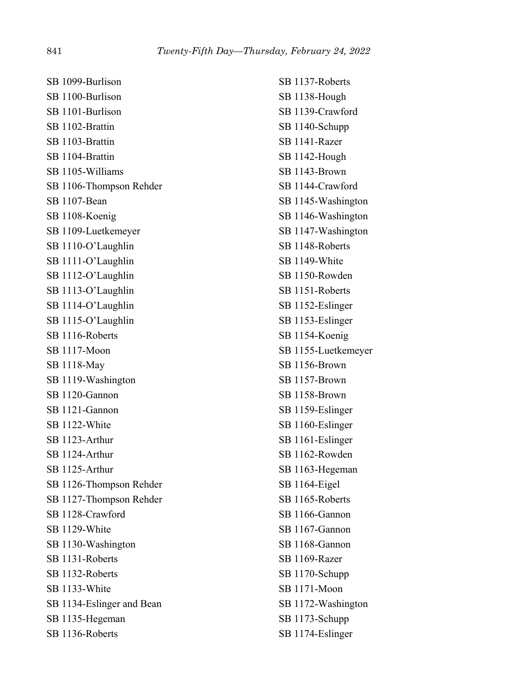SB 1099-Burlison SB 1100-Burlison SB 1101-Burlison SB 1102-Brattin SB 1103-Brattin SB 1104-Brattin SB 1105-Williams SB 1106-Thompson Rehder SB 1107-Bean SB 1108-Koenig SB 1109-Luetkemeyer SB 1110-O'Laughlin SB 1111-O'Laughlin SB 1112-O'Laughlin SB 1113-O'Laughlin SB 1114-O'Laughlin SB 1115-O'Laughlin SB 1116-Roberts SB 1117-Moon SB 1118-May SB 1119-Washington SB 1120-Gannon SB 1121-Gannon SB 1122-White SB 1123-Arthur SB 1124-Arthur SB 1125-Arthur SB 1126-Thompson Rehder SB 1127-Thompson Rehder SB 1128-Crawford SB 1129-White SB 1130-Washington SB 1131-Roberts SB 1132-Roberts SB 1133-White SB 1134-Eslinger and Bean SB 1135-Hegeman SB 1136-Roberts

SB 1137-Roberts SB 1138-Hough SB 1139-Crawford SB 1140-Schupp SB 1141-Razer SB 1142-Hough SB 1143-Brown SB 1144-Crawford SB 1145-Washington SB 1146-Washington SB 1147-Washington SB 1148-Roberts SB 1149-White SB 1150-Rowden SB 1151-Roberts SB 1152-Eslinger SB 1153-Eslinger SB 1154-Koenig SB 1155-Luetkemeyer SB 1156-Brown SB 1157-Brown SB 1158-Brown SB 1159-Eslinger SB 1160-Eslinger SB 1161-Eslinger SB 1162-Rowden SB 1163-Hegeman SB 1164-Eigel SB 1165-Roberts SB 1166-Gannon SB 1167-Gannon SB 1168-Gannon SB 1169-Razer SB 1170-Schupp SB 1171-Moon SB 1172-Washington SB 1173-Schupp SB 1174-Eslinger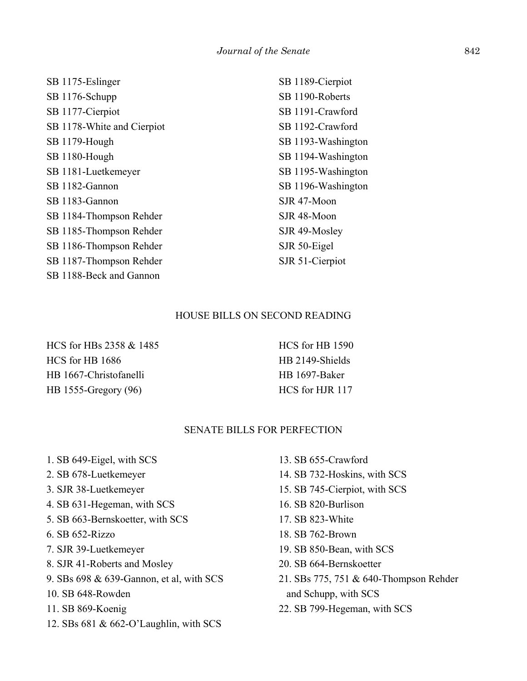| SB 1175-Eslinger           | SB 1189-Cierpiot   |
|----------------------------|--------------------|
| SB 1176-Schupp             | SB 1190-Roberts    |
| SB 1177-Cierpiot           | SB 1191-Crawford   |
| SB 1178-White and Cierpiot | SB 1192-Crawford   |
| SB 1179-Hough              | SB 1193-Washington |
| SB 1180-Hough              | SB 1194-Washington |
| SB 1181-Luetkemeyer        | SB 1195-Washington |
| SB 1182-Gannon             | SB 1196-Washington |
| SB 1183-Gannon             | SJR 47-Moon        |
| SB 1184-Thompson Rehder    | SJR 48-Moon        |
| SB 1185-Thompson Rehder    | SJR 49-Mosley      |
| SB 1186-Thompson Rehder    | SJR 50-Eigel       |
| SB 1187-Thompson Rehder    | SJR 51-Cierpiot    |
| SB 1188-Beck and Gannon    |                    |

#### HOUSE BILLS ON SECOND READING

HCS for HBs 2358 & 1485 HCS for HB 1686 HB 1667-Christofanelli HB 1555-Gregory (96)

HCS for HB 1590 HB 2149-Shields HB 1697-Baker HCS for HJR 117

#### SENATE BILLS FOR PERFECTION

- 1. SB 649-Eigel, with SCS
- 2. SB 678-Luetkemeyer
- 3. SJR 38-Luetkemeyer
- 4. SB 631-Hegeman, with SCS
- 5. SB 663-Bernskoetter, with SCS
- 6. SB 652-Rizzo
- 7. SJR 39-Luetkemeyer
- 8. SJR 41-Roberts and Mosley
- 9. SBs 698 & 639-Gannon, et al, with SCS
- 10. SB 648-Rowden
- 11. SB 869-Koenig
- 12. SBs 681 & 662-O'Laughlin, with SCS
- 13. SB 655-Crawford
- 14. SB 732-Hoskins, with SCS
- 15. SB 745-Cierpiot, with SCS
- 16. SB 820-Burlison
- 17. SB 823-White
- 18. SB 762-Brown
- 19. SB 850-Bean, with SCS
- 20. SB 664-Bernskoetter
- 21. SBs 775, 751 & 640-Thompson Rehder and Schupp, with SCS
- 22. SB 799-Hegeman, with SCS